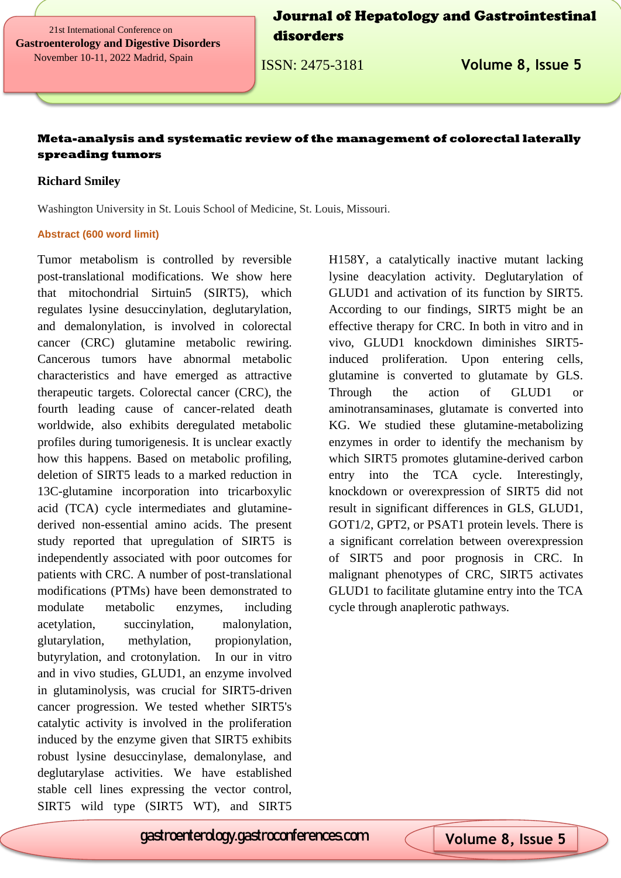21st International Conference on **Gastroenterology and Digestive Disorders** November 10-11, 2022 Madrid, Spain

Journal of Hepatology and Gastrointestinal disorders

ISSN: 2475-3181 **Volume 8, Issue 5**

### **Meta-analysis and systematic review of the management of colorectal laterally spreading tumors**

### **Richard Smiley**

Washington University in St. Louis School of Medicine, St. Louis, Missouri.

#### **Abstract (600 word limit)**

Tumor metabolism is controlled by reversible post-translational modifications. We show here that mitochondrial Sirtuin5 (SIRT5), which regulates lysine desuccinylation, deglutarylation, and demalonylation, is involved in colorectal cancer (CRC) glutamine metabolic rewiring. Cancerous tumors have abnormal metabolic characteristics and have emerged as attractive therapeutic targets. Colorectal cancer (CRC), the fourth leading cause of cancer-related death worldwide, also exhibits deregulated metabolic profiles during tumorigenesis. It is unclear exactly how this happens. Based on metabolic profiling, deletion of SIRT5 leads to a marked reduction in 13C-glutamine incorporation into tricarboxylic acid (TCA) cycle intermediates and glutaminederived non-essential amino acids. The present study reported that upregulation of SIRT5 is independently associated with poor outcomes for patients with CRC. A number of post-translational modifications (PTMs) have been demonstrated to modulate metabolic enzymes, including acetylation, succinylation, malonylation, glutarylation, methylation, propionylation, butyrylation, and crotonylation. In our in vitro and in vivo studies, GLUD1, an enzyme involved in glutaminolysis, was crucial for SIRT5-driven cancer progression. We tested whether SIRT5's catalytic activity is involved in the proliferation induced by the enzyme given that SIRT5 exhibits robust lysine desuccinylase, demalonylase, and deglutarylase activities. We have established stable cell lines expressing the vector control, SIRT5 wild type (SIRT5 WT), and SIRT5

H158Y, a catalytically inactive mutant lacking lysine deacylation activity. Deglutarylation of GLUD1 and activation of its function by SIRT5. According to our findings, SIRT5 might be an effective therapy for CRC. In both in vitro and in vivo, GLUD1 knockdown diminishes SIRT5 induced proliferation. Upon entering cells, glutamine is converted to glutamate by GLS. Through the action of GLUD1 or aminotransaminases, glutamate is converted into KG. We studied these glutamine-metabolizing enzymes in order to identify the mechanism by which SIRT5 promotes glutamine-derived carbon entry into the TCA cycle. Interestingly, knockdown or overexpression of SIRT5 did not result in significant differences in GLS, GLUD1, GOT1/2, GPT2, or PSAT1 protein levels. There is a significant correlation between overexpression of SIRT5 and poor prognosis in CRC. In malignant phenotypes of CRC, SIRT5 activates GLUD1 to facilitate glutamine entry into the TCA cycle through anaplerotic pathways.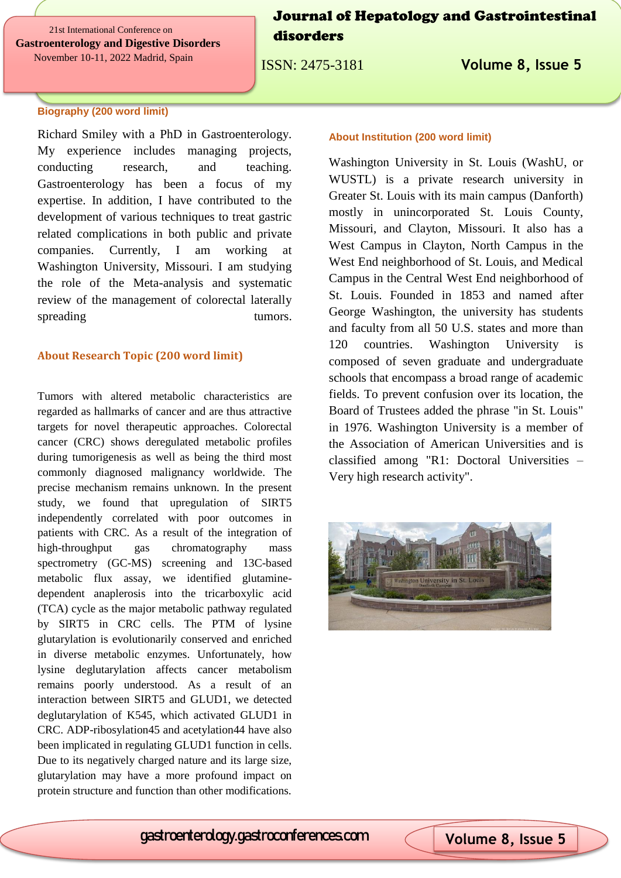21st International Conference on **Gastroenterology and Digestive Disorders** November 10-11, 2022 Madrid, Spain

Journal of Hepatology and Gastrointestinal disorders

ISSN: 2475-3181 **Volume 8, Issue 5**

### **Biography (200 word limit)**

Richard Smiley with a PhD in Gastroenterology. My experience includes managing projects, conducting research, and teaching. Gastroenterology has been a focus of my expertise. In addition, I have contributed to the development of various techniques to treat gastric related complications in both public and private companies. Currently, I am working at Washington University, Missouri. I am studying the role of the Meta-analysis and systematic review of the management of colorectal laterally spreading tumors.

#### **About Research Topic (200 word limit)**

Tumors with altered metabolic characteristics are regarded as hallmarks of cancer and are thus attractive targets for novel therapeutic approaches. Colorectal cancer (CRC) shows deregulated metabolic profiles during tumorigenesis as well as being the third most commonly diagnosed malignancy worldwide. The precise mechanism remains unknown. In the present study, we found that upregulation of SIRT5 independently correlated with poor outcomes in patients with CRC. As a result of the integration of high-throughput gas chromatography mass spectrometry (GC-MS) screening and 13C-based metabolic flux assay, we identified glutaminedependent anaplerosis into the tricarboxylic acid (TCA) cycle as the major metabolic pathway regulated by SIRT5 in CRC cells. The PTM of lysine glutarylation is evolutionarily conserved and enriched in diverse metabolic enzymes. Unfortunately, how lysine deglutarylation affects cancer metabolism remains poorly understood. As a result of an interaction between SIRT5 and GLUD1, we detected deglutarylation of K545, which activated GLUD1 in CRC. ADP-ribosylation45 and acetylation44 have also been implicated in regulating GLUD1 function in cells. Due to its negatively charged nature and its large size, glutarylation may have a more profound impact on protein structure and function than other modifications.

#### **About Institution (200 word limit)**

Washington University in St. Louis (WashU, or WUSTL) is a private research university in Greater St. Louis with its main campus (Danforth) mostly in unincorporated St. Louis County, Missouri, and Clayton, Missouri. It also has a West Campus in Clayton, North Campus in the West End neighborhood of St. Louis, and Medical Campus in the Central West End neighborhood of St. Louis. Founded in 1853 and named after George Washington, the university has students and faculty from all 50 U.S. states and more than 120 countries. Washington University composed of seven graduate and undergraduate schools that encompass a broad range of academic fields. To prevent confusion over its location, the Board of Trustees added the phrase "in St. Louis" in 1976. Washington University is a member of the Association of American Universities and is classified among "R1: Doctoral Universities – Very high research activity".



# gastroenterology.gastroconferences.com **Volume 8, Issue 5**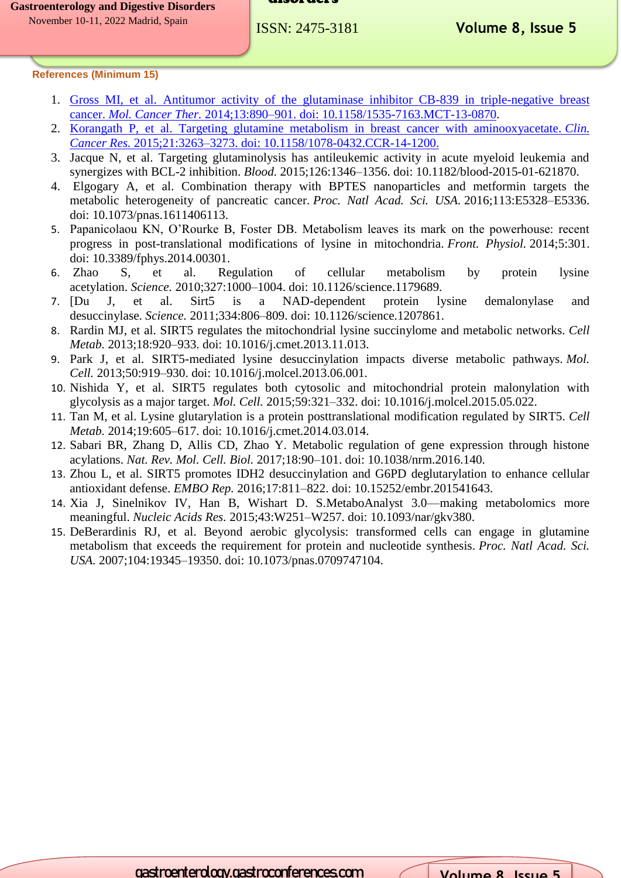#### disorders

**References (Minimum 15)** 

- 1. [Gross MI, et al. Antitumor activity of the glutaminase inhibitor CB-839 in triple-negative breast](https://www.longdom.org/hepatology-gastrointestinal-disorders/archive.html)  cancer. *Mol. Cancer Ther.* 2014;13:890–901. doi: [10.1158/1535-7163.MCT-13-0870.](https://www.longdom.org/hepatology-gastrointestinal-disorders/archive.html)
- 2. Korangath [P, et al. Targeting glutamine metabolism in breast cancer with aminooxyacetate.](https://www.longdom.org/hepatology-gastrointestinal-disorders/archive.html) *Clin. Cancer Res.* 2015;21:3263–3273. doi: [10.1158/1078-0432.CCR-14-1200.](https://www.longdom.org/hepatology-gastrointestinal-disorders/archive.html)
- 3. Jacque N, et al. Targeting glutaminolysis has antileukemic activity in acute myeloid leukemia and synergizes with BCL-2 inhibition. *Blood.* 2015;126:1346–1356. doi: 10.1182/blood-2015-01-621870.
- 4. Elgogary A, et al. Combination therapy with BPTES nanoparticles and metformin targets the metabolic heterogeneity of pancreatic cancer. *Proc. Natl Acad. Sci. USA.* 2016;113:E5328–E5336. doi: 10.1073/pnas.1611406113.
- 5. Papanicolaou KN, O'Rourke B, Foster DB. Metabolism leaves its mark on the powerhouse: recent progress in post-translational modifications of lysine in mitochondria. *Front. Physiol.* 2014;5:301. doi: 10.3389/fphys.2014.00301.
- 6. Zhao S, et al. Regulation of cellular metabolism by protein lysine acetylation. *Science.* 2010;327:1000–1004. doi: 10.1126/science.1179689.
- 7. [Du J, et al. Sirt5 is a NAD-dependent protein lysine demalonylase and desuccinylase. *Science.* 2011;334:806–809. doi: 10.1126/science.1207861.
- 8. Rardin MJ, et al. SIRT5 regulates the mitochondrial lysine succinylome and metabolic networks. *Cell Metab.* 2013;18:920–933. doi: 10.1016/j.cmet.2013.11.013.
- 9. Park J, et al. SIRT5-mediated lysine desuccinylation impacts diverse metabolic pathways. *Mol. Cell.* 2013;50:919–930. doi: 10.1016/j.molcel.2013.06.001.
- 10. Nishida Y, et al. SIRT5 regulates both cytosolic and mitochondrial protein malonylation with glycolysis as a major target. *Mol. Cell.* 2015;59:321–332. doi: 10.1016/j.molcel.2015.05.022.
- 11. Tan M, et al. Lysine glutarylation is a protein posttranslational modification regulated by SIRT5. *Cell Metab.* 2014;19:605–617. doi: 10.1016/j.cmet.2014.03.014.
- 12. Sabari BR, Zhang D, Allis CD, Zhao Y. Metabolic regulation of gene expression through histone acylations. *Nat. Rev. Mol. Cell. Biol.* 2017;18:90–101. doi: 10.1038/nrm.2016.140.
- 13. Zhou L, et al. SIRT5 promotes IDH2 desuccinylation and G6PD deglutarylation to enhance cellular antioxidant defense. *EMBO Rep.* 2016;17:811–822. doi: 10.15252/embr.201541643.
- 14. Xia J, Sinelnikov IV, Han B, Wishart D. S.MetaboAnalyst 3.0—making metabolomics more meaningful. *Nucleic Acids Res.* 2015;43:W251–W257. doi: 10.1093/nar/gkv380.
- 15. DeBerardinis RJ, et al. Beyond aerobic glycolysis: transformed cells can engage in glutamine metabolism that exceeds the requirement for protein and nucleotide synthesis. *Proc. Natl Acad. Sci. USA.* 2007;104:19345–19350. doi: 10.1073/pnas.0709747104.